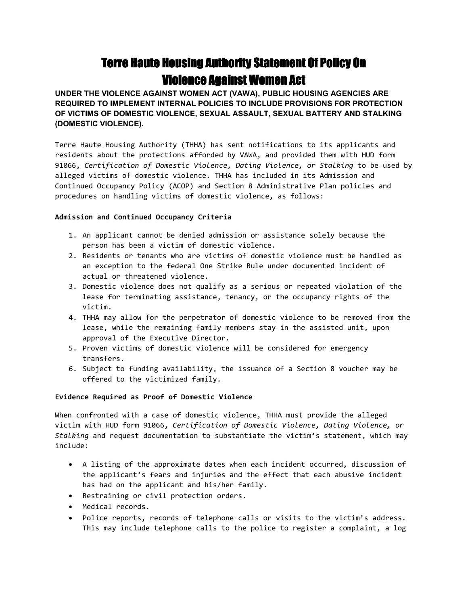# **Terre Haute Housing Authority Statement Of Policy On Violence Against Women Act**

**UNDER THE VIOLENCE AGAINST WOMEN ACT (VAWA), PUBLIC HOUSING AGENCIES ARE REQUIRED TO IMPLEMENT INTERNAL POLICIES TO INCLUDE PROVISIONS FOR PROTECTION OF VICTIMS OF DOMESTIC VIOLENCE, SEXUAL ASSAULT, SEXUAL BATTERY AND STALKING (DOMESTIC VIOLENCE).** 

Terre Haute Housing Authority (THHA) has sent notifications to its applicants and residents about the protections afforded by VAWA, and provided them with HUD form 91066, *Certification of Domestic Violence, Dating Violence, or Stalking* to be used by alleged victims of domestic violence. THHA has included in its Admission and Continued Occupancy Policy (ACOP) and Section 8 Administrative Plan policies and procedures on handling victims of domestic violence, as follows:

## **Admission and Continued Occupancy Criteria**

- 1. An applicant cannot be denied admission or assistance solely because the person has been a victim of domestic violence.
- 2. Residents or tenants who are victims of domestic violence must be handled as an exception to the federal One Strike Rule under documented incident of actual or threatened violence.
- 3. Domestic violence does not qualify as a serious or repeated violation of the lease for terminating assistance, tenancy, or the occupancy rights of the victim.
- 4. THHA may allow for the perpetrator of domestic violence to be removed from the lease, while the remaining family members stay in the assisted unit, upon approval of the Executive Director.
- 5. Proven victims of domestic violence will be considered for emergency transfers.
- 6. Subject to funding availability, the issuance of a Section 8 voucher may be offered to the victimized family.

## **Evidence Required as Proof of Domestic Violence**

When confronted with a case of domestic violence, THHA must provide the alleged victim with HUD form 91066, *Certification of Domestic Violence, Dating Violence, or Stalking* and request documentation to substantiate the victim's statement, which may include:

- A listing of the approximate dates when each incident occurred, discussion of the applicant's fears and injuries and the effect that each abusive incident has had on the applicant and his/her family.
- Restraining or civil protection orders.
- Medical records.
- Police reports, records of telephone calls or visits to the victim's address. This may include telephone calls to the police to register a complaint, a log